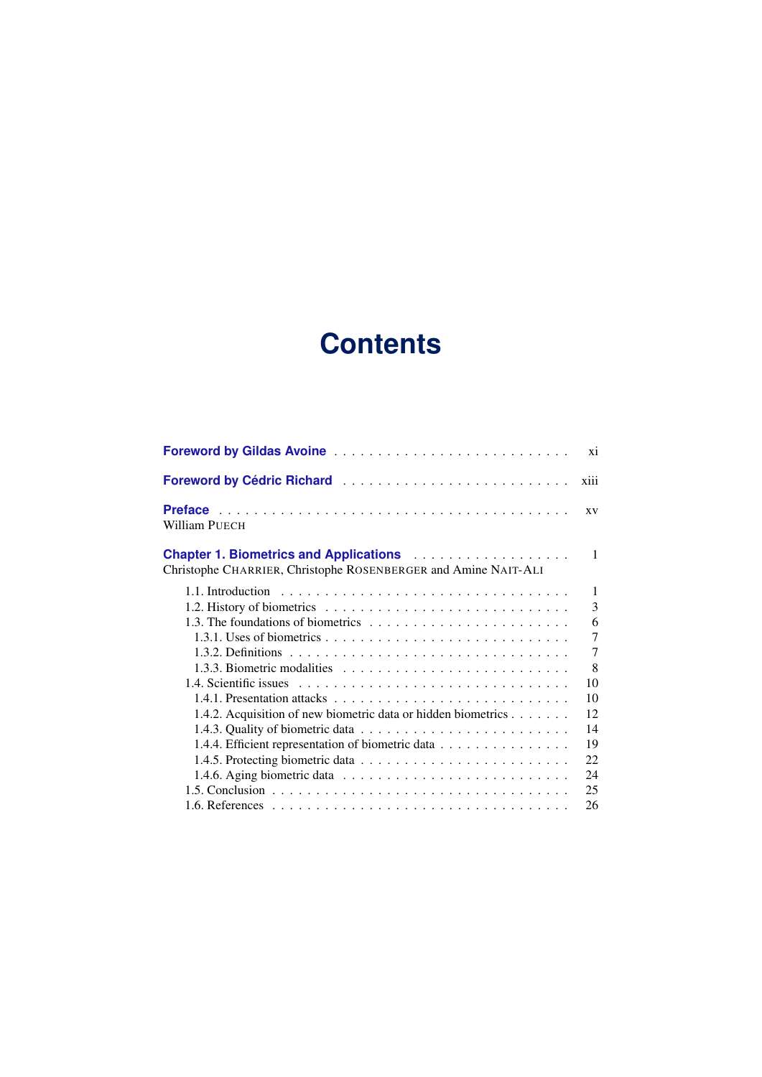## **Contents**

|                                                                                                                                                                                          | xi             |
|------------------------------------------------------------------------------------------------------------------------------------------------------------------------------------------|----------------|
| Foreword by Cédric Richard                                                                                                                                                               | xiii           |
| William PUECH                                                                                                                                                                            | XV             |
| <b>Chapter 1. Biometrics and Applications Actual Activity Chapter 1. Biometrics and Applications Activity Activity</b><br>Christophe CHARRIER, Christophe ROSENBERGER and Amine NAIT-ALI | $\mathbf{1}$   |
|                                                                                                                                                                                          | $\mathbf{1}$   |
|                                                                                                                                                                                          | 3              |
|                                                                                                                                                                                          | 6              |
|                                                                                                                                                                                          | $\overline{7}$ |
|                                                                                                                                                                                          | $\overline{7}$ |
|                                                                                                                                                                                          | 8              |
|                                                                                                                                                                                          | 10             |
|                                                                                                                                                                                          | 10             |
| 1.4.2. Acquisition of new biometric data or hidden biometrics                                                                                                                            | 12             |
|                                                                                                                                                                                          | 14             |
| 1.4.4. Efficient representation of biometric data                                                                                                                                        | 19             |
|                                                                                                                                                                                          | 22             |
| 1.4.6. Aging biometric data $\ldots \ldots \ldots \ldots \ldots \ldots \ldots \ldots$                                                                                                    | 24             |
|                                                                                                                                                                                          | 25             |
|                                                                                                                                                                                          | 26             |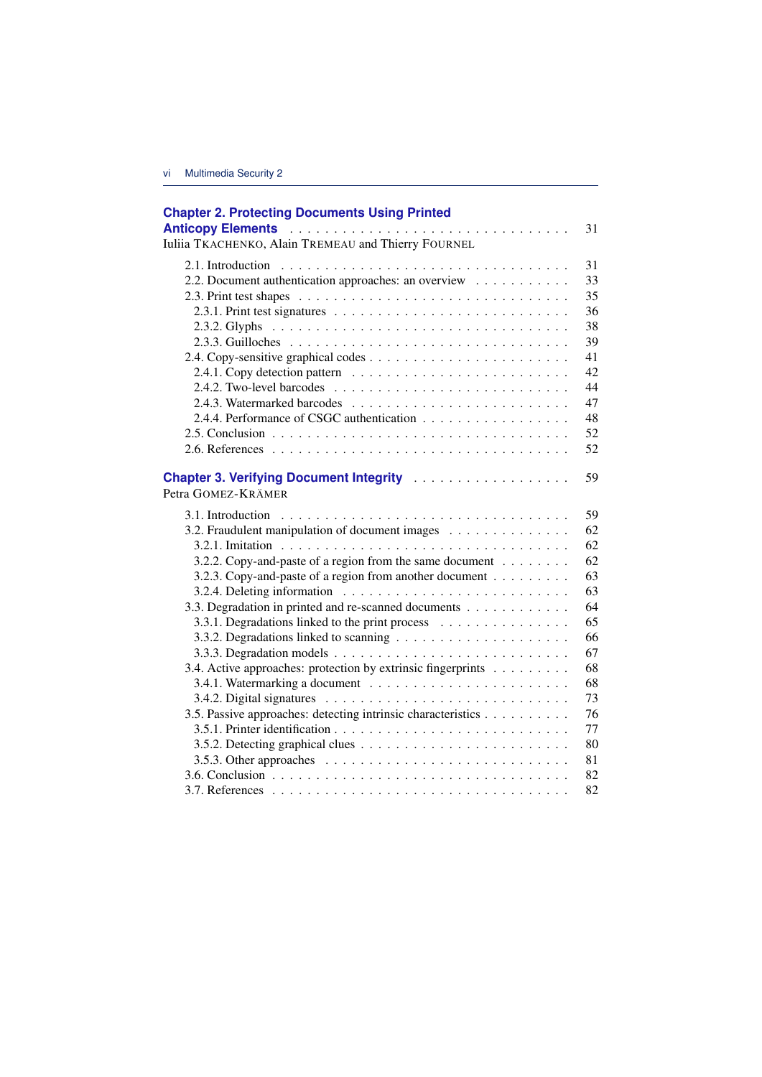| <b>Chapter 2. Protecting Documents Using Printed</b>                                          | 31 |
|-----------------------------------------------------------------------------------------------|----|
| Iuliia TKACHENKO, Alain TREMEAU and Thierry FOURNEL                                           |    |
|                                                                                               | 31 |
| 2.2. Document authentication approaches: an overview                                          | 33 |
|                                                                                               | 35 |
| 2.3.1. Print test signatures $\ldots \ldots \ldots \ldots \ldots \ldots \ldots \ldots \ldots$ | 36 |
|                                                                                               | 38 |
|                                                                                               | 39 |
|                                                                                               | 41 |
|                                                                                               | 42 |
|                                                                                               | 44 |
|                                                                                               | 47 |
|                                                                                               | 48 |
|                                                                                               | 52 |
|                                                                                               | 52 |
| Petra GOMEZ-KRÄMER                                                                            | 59 |
|                                                                                               | 59 |
| 3.2. Fraudulent manipulation of document images                                               | 62 |
|                                                                                               | 62 |
| 3.2.2. Copy-and-paste of a region from the same document                                      | 62 |
| 3.2.3. Copy-and-paste of a region from another document                                       | 63 |
|                                                                                               | 63 |
| 3.3. Degradation in printed and re-scanned documents                                          | 64 |
| 3.3.1. Degradations linked to the print process                                               | 65 |
|                                                                                               | 66 |
|                                                                                               | 67 |
| 3.4. Active approaches: protection by extrinsic fingerprints                                  | 68 |
|                                                                                               | 68 |
|                                                                                               | 73 |
| 3.5. Passive approaches: detecting intrinsic characteristics                                  | 76 |
|                                                                                               | 77 |
|                                                                                               | 80 |
| 3.5.3. Other approaches $\ldots \ldots \ldots \ldots \ldots \ldots \ldots \ldots \ldots$      | 81 |
|                                                                                               | 82 |
|                                                                                               | 82 |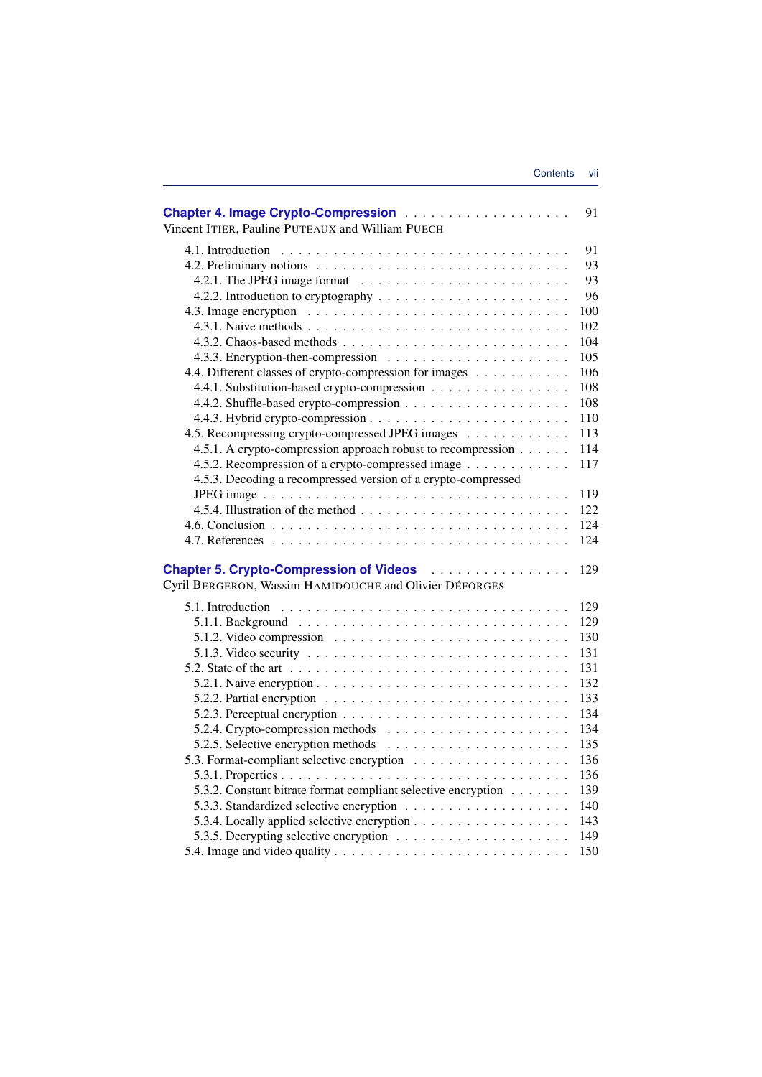| Vincent ITIER, Pauline PUTEAUX and William PUECH                                                      | 91  |
|-------------------------------------------------------------------------------------------------------|-----|
|                                                                                                       | 91  |
|                                                                                                       | 93  |
|                                                                                                       | 93  |
|                                                                                                       | 96  |
|                                                                                                       | 100 |
|                                                                                                       | 102 |
|                                                                                                       | 104 |
|                                                                                                       | 105 |
| 4.4. Different classes of crypto-compression for images                                               | 106 |
| 4.4.1. Substitution-based crypto-compression                                                          | 108 |
|                                                                                                       | 108 |
|                                                                                                       | 110 |
| 4.5. Recompressing crypto-compressed JPEG images                                                      | 113 |
| 4.5.1. A crypto-compression approach robust to recompression                                          | 114 |
| 4.5.2. Recompression of a crypto-compressed image                                                     | 117 |
| 4.5.3. Decoding a recompressed version of a crypto-compressed                                         |     |
|                                                                                                       | 119 |
|                                                                                                       | 122 |
|                                                                                                       | 124 |
|                                                                                                       | 124 |
|                                                                                                       | 129 |
| Cyril BERGERON, Wassim HAMIDOUCHE and Olivier DÉFORGES                                                |     |
| 5.1. Introduction $\ldots \ldots \ldots \ldots \ldots \ldots \ldots \ldots \ldots \ldots \ldots$      | 129 |
|                                                                                                       | 129 |
|                                                                                                       | 130 |
| 5.1.3. Video security $\ldots \ldots \ldots \ldots \ldots \ldots \ldots \ldots \ldots \ldots$         | 131 |
| 5.2. State of the art $\dots \dots \dots \dots \dots \dots \dots \dots \dots \dots \dots \dots \dots$ | 131 |
|                                                                                                       | 132 |
|                                                                                                       | 133 |
|                                                                                                       | 134 |
|                                                                                                       | 134 |
|                                                                                                       | 135 |
|                                                                                                       | 136 |
|                                                                                                       | 136 |
| 5.3.2. Constant bitrate format compliant selective encryption                                         | 139 |
|                                                                                                       | 140 |
|                                                                                                       | 143 |
|                                                                                                       | 149 |
|                                                                                                       | 150 |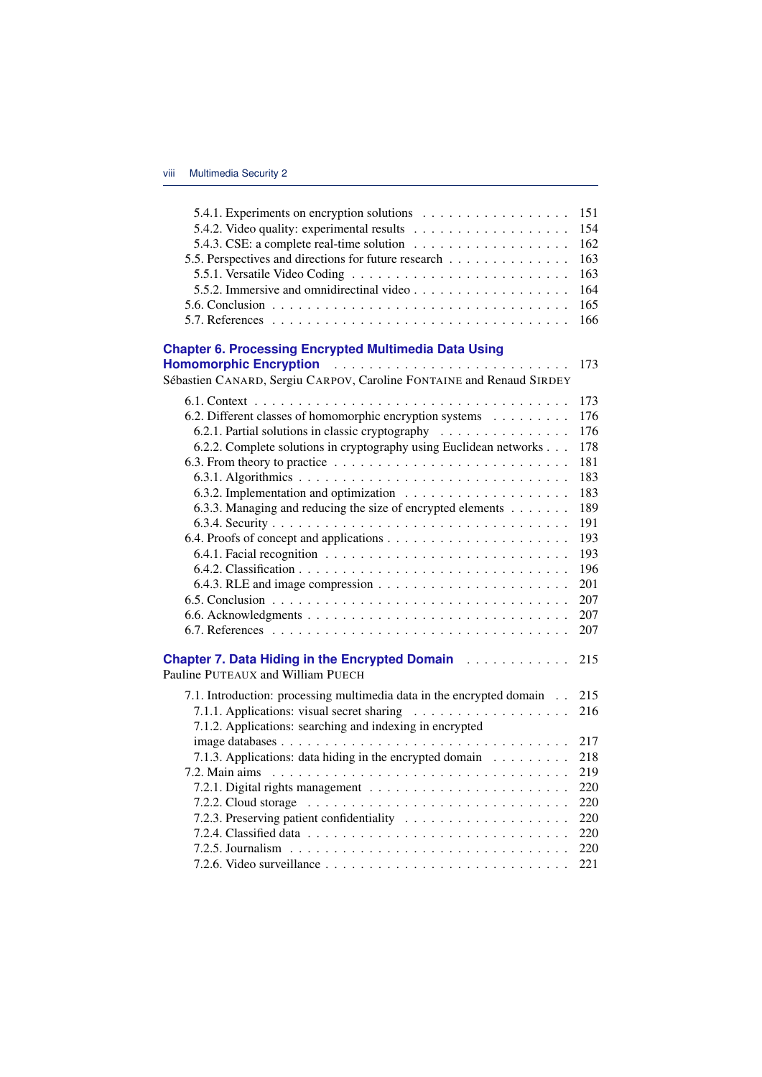| 5.4.1. Experiments on encryption solutions                                                   | 151 |
|----------------------------------------------------------------------------------------------|-----|
|                                                                                              | 154 |
|                                                                                              | 162 |
| 5.5. Perspectives and directions for future research                                         | 163 |
|                                                                                              | 163 |
|                                                                                              | 164 |
|                                                                                              | 165 |
|                                                                                              | 166 |
| <b>Chapter 6. Processing Encrypted Multimedia Data Using</b>                                 |     |
| Homomorphic Encryption                                                                       | 173 |
| Sébastien CANARD, Sergiu CARPOV, Caroline FONTAINE and Renaud SIRDEY                         |     |
|                                                                                              | 173 |
| 6.2. Different classes of homomorphic encryption systems                                     | 176 |
| 6.2.1. Partial solutions in classic cryptography                                             | 176 |
| 6.2.2. Complete solutions in cryptography using Euclidean networks                           | 178 |
|                                                                                              | 181 |
|                                                                                              | 183 |
|                                                                                              | 183 |
| 6.3.3. Managing and reducing the size of encrypted elements                                  | 189 |
|                                                                                              | 191 |
|                                                                                              | 193 |
|                                                                                              | 193 |
|                                                                                              | 196 |
| 6.4.3. RLE and image compression $\ldots \ldots \ldots \ldots \ldots \ldots \ldots$          | 201 |
|                                                                                              | 207 |
|                                                                                              | 207 |
|                                                                                              | 207 |
| Chapter 7. Data Hiding in the Encrypted Domain Alberts Alberts                               | 215 |
| Pauline PUTEAUX and William PUECH                                                            |     |
| 7.1. Introduction: processing multimedia data in the encrypted domain                        | 215 |
|                                                                                              | 216 |
| 7.1.2. Applications: searching and indexing in encrypted                                     |     |
|                                                                                              | 217 |
| 7.1.3. Applications: data hiding in the encrypted domain                                     | 218 |
|                                                                                              | 219 |
|                                                                                              | 220 |
| 7.2.2. Cloud storage $\ldots \ldots \ldots \ldots \ldots \ldots \ldots \ldots \ldots \ldots$ | 220 |
|                                                                                              | 220 |
|                                                                                              | 220 |
|                                                                                              | 220 |
|                                                                                              | 221 |